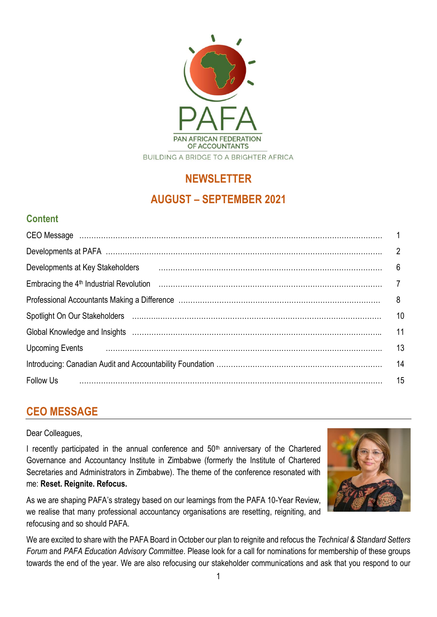

# **NEWSLETTER AUGUST – SEPTEMBER 2021**

# **Content**

| Developments at Key Stakeholders                                                                                                                      | 6  |
|-------------------------------------------------------------------------------------------------------------------------------------------------------|----|
|                                                                                                                                                       |    |
|                                                                                                                                                       | 8  |
| Spotlight On Our Stakeholders (and according control of the Spotlight On Our Stakeholders (and according control of the Spotlight On Our Stakeholders | 10 |
| Global Knowledge and Insights (and according to the control of the control of the control of the control of the                                       | 11 |
|                                                                                                                                                       | 13 |
|                                                                                                                                                       | 14 |
| <b>Follow Us</b>                                                                                                                                      | 15 |

# **CEO MESSAGE**

Dear Colleagues,

I recently participated in the annual conference and  $50<sup>th</sup>$  anniversary of the Chartered Governance and Accountancy Institute in Zimbabwe (formerly the Institute of Chartered Secretaries and Administrators in Zimbabwe). The theme of the conference resonated with me: **Reset. Reignite. Refocus.**

As we are shaping PAFA's strategy based on our learnings from the PAFA 10-Year Review, we realise that many professional accountancy organisations are resetting, reigniting, and refocusing and so should PAFA.



We are excited to share with the PAFA Board in October our plan to reignite and refocus the *Technical & Standard Setters Forum* and *PAFA Education Advisory Committee*. Please look for a call for nominations for membership of these groups towards the end of the year. We are also refocusing our stakeholder communications and ask that you respond to our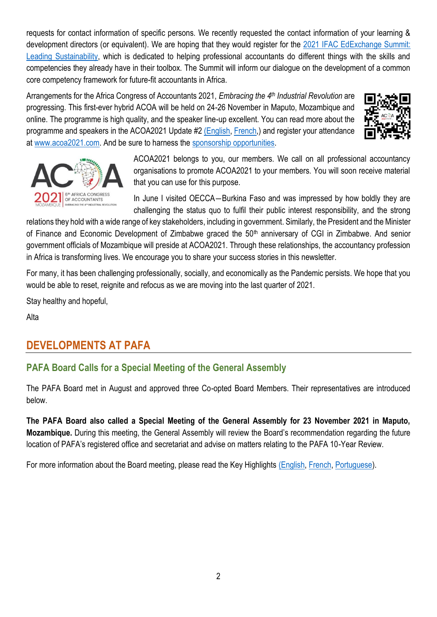requests for contact information of specific persons. We recently requested the contact information of your learning & development directors (or equivalent). We are hoping that they would register for the [2021 IFAC EdExchange Summit:](https://www.ifac.org/events/2021-ifac-edexchange-summit-leading-sustainability?utm_source=Main+List+New&utm_campaign=e2d070a8ea-2021-EdExchange-Summit-Sustainability&utm_medium=email&utm_term=0_c325307f2b-e2d070a8ea-80691836)  [Leading Sustainability,](https://www.ifac.org/events/2021-ifac-edexchange-summit-leading-sustainability?utm_source=Main+List+New&utm_campaign=e2d070a8ea-2021-EdExchange-Summit-Sustainability&utm_medium=email&utm_term=0_c325307f2b-e2d070a8ea-80691836) which is dedicated to helping professional accountants do different things with the skills and competencies they already have in their toolbox. The Summit will inform our dialogue on the development of a common core competency framework for future-fit accountants in Africa.

Arrangements for the Africa Congress of Accountants 2021, *Embracing the 4 th Industrial Revolution* are progressing. This first-ever hybrid ACOA will be held on 24-26 November in Maputo, Mozambique and online. The programme is high quality, and the speaker line-up excellent. You can read more about the programme and speakers in the ACOA2021 Update #2 [\(](https://pafa.org.za/sites/default/files/2021-10/ACOA2021%20Update%20%232-English.pdf)[English,](http://pafa.org.za/sites/default/files/2021-10/ACOA2021%20Update%20%232-English_0.pdf) [French,](https://pafa.org.za/sites/default/files/2021-10/ACOA2021%20Update%20%232-French.pdf)) and register your attendance at [www.acoa2021.com.](http://www.acoa2021.com/) And be sure to harness the [sponsorship opportunities.](https://acoa2021.com/sponsor-brochure/)





ACOA2021 belongs to you, our members. We call on all professional accountancy organisations to promote ACOA2021 to your members. You will soon receive material that you can use for this purpose.

In June I visited OECCA—Burkina Faso and was impressed by how boldly they are challenging the status quo to fulfil their public interest responsibility, and the strong

relations they hold with a wide range of key stakeholders, including in government. Similarly, the President and the Minister of Finance and Economic Development of Zimbabwe graced the 50<sup>th</sup> anniversary of CGI in Zimbabwe. And senior government officials of Mozambique will preside at ACOA2021. Through these relationships, the accountancy profession in Africa is transforming lives. We encourage you to share your success stories in this newsletter.

For many, it has been challenging professionally, socially, and economically as the Pandemic persists. We hope that you would be able to reset, reignite and refocus as we are moving into the last quarter of 2021.

Stay healthy and hopeful,

Alta

# **DEVELOPMENTS AT PAFA**

# **PAFA Board Calls for a Special Meeting of the General Assembly**

The PAFA Board met in August and approved three Co-opted Board Members. Their representatives are introduced below.

**The PAFA Board also called a Special Meeting of the General Assembly for 23 November 2021 in Maputo, Mozambique.** During this meeting, the General Assembly will review the Board's recommendation regarding the future location of PAFA's registered office and secretariat and advise on matters relating to the PAFA 10-Year Review.

For more information about the Board meeting, please read the Key Highlights [\(English,](https://pafa.org.za/sites/default/files/2021-10/August2021-English.pdf) [French,](https://pafa.org.za/sites/default/files/2021-10/August2021-French.pdf) [Portuguese\)](https://pafa.org.za/sites/default/files/2021-10/August2021-Portuguese.pdf).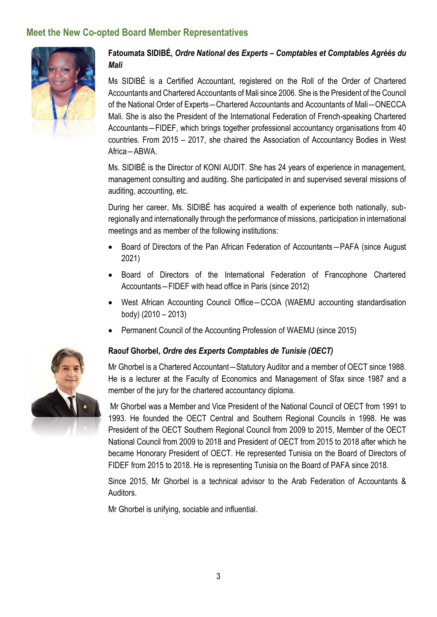# **Meet the New Co-opted Board Member Representatives**



### **Fatoumata SIDIBÉ,** *Ordre National des Experts – Comptables et Comptables Agréés du Mali*

Ms SIDIBÉ is a Certified Accountant, registered on the Roll of the Order of Chartered Accountants and Chartered Accountants of Mali since 2006. She is the President of the Council of the National Order of Experts―Chartered Accountants and Accountants of Mali―ONECCA Mali. She is also the President of the International Federation of French-speaking Chartered Accountants―FIDEF, which brings together professional accountancy organisations from 40 countries. From 2015 – 2017, she chaired the Association of Accountancy Bodies in West Africa―ABWA.

Ms. SIDIBÉ is the Director of KONI AUDIT. She has 24 years of experience in management, management consulting and auditing. She participated in and supervised several missions of auditing, accounting, etc.

During her career, Ms. SIDIBÉ has acquired a wealth of experience both nationally, subregionally and internationally through the performance of missions, participation in international meetings and as member of the following institutions:

- Board of Directors of the Pan African Federation of Accountants―PAFA (since August 2021)
- Board of Directors of the International Federation of Francophone Chartered Accountants―FIDEF with head office in Paris (since 2012)
- West African Accounting Council Office–CCOA (WAEMU accounting standardisation body) (2010 – 2013)
- Permanent Council of the Accounting Profession of WAEMU (since 2015)

#### **Raouf Ghorbel,** *Ordre des Experts Comptables de Tunisie (OECT)*

Mr Ghorbel is a Chartered Accountant―Statutory Auditor and a member of OECT since 1988. He is a lecturer at the Faculty of Economics and Management of Sfax since 1987 and a member of the jury for the chartered accountancy diploma.

Mr Ghorbel was a Member and Vice President of the National Council of OECT from 1991 to 1993. He founded the OECT Central and Southern Regional Councils in 1998. He was President of the OECT Southern Regional Council from 2009 to 2015, Member of the OECT National Council from 2009 to 2018 and President of OECT from 2015 to 2018 after which he became Honorary President of OECT. He represented Tunisia on the Board of Directors of FIDEF from 2015 to 2018. He is representing Tunisia on the Board of PAFA since 2018.

Since 2015, Mr Ghorbel is a technical advisor to the Arab Federation of Accountants & Auditors.

Mr Ghorbel is unifying, sociable and influential.

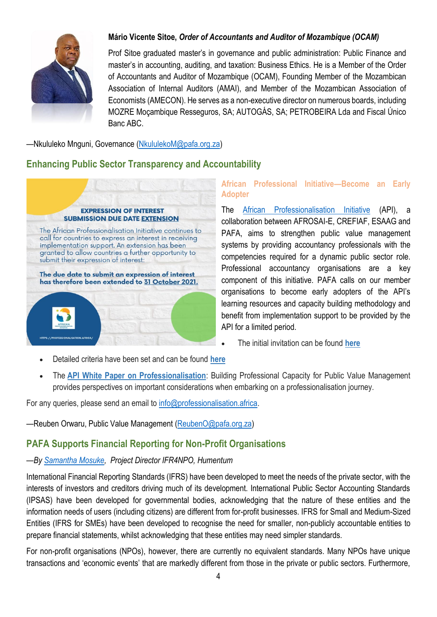

### **Mário Vicente Sitoe,** *Order of Accountants and Auditor of Mozambique (OCAM)*

Prof Sitoe graduated master's in governance and public administration: Public Finance and master's in accounting, auditing, and taxation: Business Ethics. He is a Member of the Order of Accountants and Auditor of Mozambique (OCAM), Founding Member of the Mozambican Association of Internal Auditors (AMAI), and Member of the Mozambican Association of Economists (AMECON). He serves as a non-executive director on numerous boards, including MOZRE Moçambique Resseguros, SA; AUTOGÁS, SA; PETROBEIRA Lda and Fiscal Único Banc ABC.

—Nkululeko Mnguni, Governance [\(NkululekoM@pafa.org.za\)](mailto:NkululekoM@pafa.org.za)

# **Enhancing Public Sector Transparency and Accountability**



#### **African Professional Initiative—Become an Early Adopter**

The [African Professionalisation Initiative](https://professionalisation.africa/) (API), a collaboration between AFROSAI-E, CREFIAF, ESAAG and PAFA, aims to strengthen public value management systems by providing accountancy professionals with the competencies required for a dynamic public sector role. Professional accountancy organisations are a key component of this initiative. PAFA calls on our member organisations to become early adopters of the API's learning resources and capacity building methodology and benefit from implementation support to be provided by the API for a limited period.

- The initial invitation can be found **[here](https://zaf01.safelinks.protection.outlook.com/?url=https%3A%2F%2Fprofessionalisation.africa%2Fdownload%2F574%2F&data=04%7C01%7CAltap%40pafa.org.za%7Ccbddbbeb35e142756de508d981e368fe%7C2ee7786fc3a945ac81e6efc75b3c9c72%7C0%7C0%7C637683636931092765%7CUnknown%7CTWFpbGZsb3d8eyJWIjoiMC4wLjAwMDAiLCJQIjoiV2luMzIiLCJBTiI6Ik1haWwiLCJXVCI6Mn0%3D%7C1000&sdata=%2BY8NOMMWEcq4CWfaVZeuz8e4lpUOAqPzryBn1rlsH%2Bo%3D&reserved=0)**
- Detailed criteria have been set and can be found **[here](https://zaf01.safelinks.protection.outlook.com/?url=https%3A%2F%2Fprofessionalisation.africa%2Fdownload%2F572%2F&data=04%7C01%7CAltap%40pafa.org.za%7Ccbddbbeb35e142756de508d981e368fe%7C2ee7786fc3a945ac81e6efc75b3c9c72%7C0%7C0%7C637683636931092765%7CUnknown%7CTWFpbGZsb3d8eyJWIjoiMC4wLjAwMDAiLCJQIjoiV2luMzIiLCJBTiI6Ik1haWwiLCJXVCI6Mn0%3D%7C1000&sdata=CWerBerDRmswKyqhohXDj39maKjcCDemU01GVoOq58g%3D&reserved=0)**
- The **[API White Paper on Professionalisation](https://zaf01.safelinks.protection.outlook.com/?url=https%3A%2F%2Fprofessionalisation.africa%2Fdownload%2F467%2F&data=04%7C01%7CAltap%40pafa.org.za%7Ccbddbbeb35e142756de508d981e368fe%7C2ee7786fc3a945ac81e6efc75b3c9c72%7C0%7C0%7C637683636931092765%7CUnknown%7CTWFpbGZsb3d8eyJWIjoiMC4wLjAwMDAiLCJQIjoiV2luMzIiLCJBTiI6Ik1haWwiLCJXVCI6Mn0%3D%7C1000&sdata=mpfCHPeFoWMe5l1VzbpqToOqQj33knSzDDEANy7aAbI%3D&reserved=0)**: Building Professional Capacity for Public Value Management provides perspectives on important considerations when embarking on a professionalisation journey.

For any queries, please send an email to  $info@professionalisation.africa$ .

—Reuben Orwaru, Public Value Management [\(ReubenO@pafa.org.za\)](mailto:ReubenO@pafa.org.za)

# **PAFA Supports Financial Reporting for Non-Profit Organisations**

#### *—By [Samantha Mosuke,](https://www.ifr4npo.org/about/ifr4npo-team/samantha-musoke/) Project Director IFR4NPO, Humentum*

International Financial Reporting Standards (IFRS) have been developed to meet the needs of the private sector, with the interests of investors and creditors driving much of its development. International Public Sector Accounting Standards (IPSAS) have been developed for governmental bodies, acknowledging that the nature of these entities and the information needs of users (including citizens) are different from for-profit businesses. IFRS for Small and Medium-Sized Entities (IFRS for SMEs) have been developed to recognise the need for smaller, non-publicly accountable entities to prepare financial statements, whilst acknowledging that these entities may need simpler standards.

For non-profit organisations (NPOs), however, there are currently no equivalent standards. Many NPOs have unique transactions and 'economic events' that are markedly different from those in the private or public sectors. Furthermore,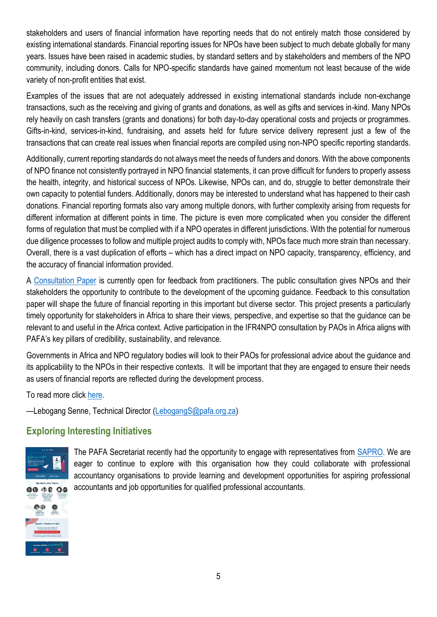stakeholders and users of financial information have reporting needs that do not entirely match those considered by existing international standards. Financial reporting issues for NPOs have been subject to much debate globally for many years. Issues have been raised in academic studies, by standard setters and by stakeholders and members of the NPO community, including donors. Calls for NPO-specific standards have gained momentum not least because of the wide variety of non-profit entities that exist.

Examples of the issues that are not adequately addressed in existing international standards include non-exchange transactions, such as the receiving and giving of grants and donations, as well as gifts and services in-kind. Many NPOs rely heavily on cash transfers (grants and donations) for both day-to-day operational costs and projects or programmes. Gifts-in-kind, services-in-kind, fundraising, and assets held for future service delivery represent just a few of the transactions that can create real issues when financial reports are compiled using non-NPO specific reporting standards.

Additionally, current reporting standards do not always meet the needs of funders and donors. With the above components of NPO finance not consistently portrayed in NPO financial statements, it can prove difficult for funders to properly assess the health, integrity, and historical success of NPOs. Likewise, NPOs can, and do, struggle to better demonstrate their own capacity to potential funders. Additionally, donors may be interested to understand what has happened to their cash donations. Financial reporting formats also vary among multiple donors, with further complexity arising from requests for different information at different points in time. The picture is even more complicated when you consider the different forms of regulation that must be complied with if a NPO operates in different jurisdictions. With the potential for numerous due diligence processes to follow and multiple project audits to comply with, NPOs face much more strain than necessary. Overall, there is a vast duplication of efforts – which has a direct impact on NPO capacity, transparency, efficiency, and the accuracy of financial information provided.

A [Consultation Paper](https://www.ifr4npo.org/consultation/) is currently open for feedback from practitioners. The public consultation gives NPOs and their stakeholders the opportunity to contribute to the development of the upcoming guidance. Feedback to this consultation paper will shape the future of financial reporting in this important but diverse sector. This project presents a particularly timely opportunity for stakeholders in Africa to share their views, perspective, and expertise so that the guidance can be relevant to and useful in the Africa context. Active participation in the IFR4NPO consultation by PAOs in Africa aligns with PAFA's key pillars of credibility, sustainability, and relevance.

Governments in Africa and NPO regulatory bodies will look to their PAOs for professional advice about the guidance and its applicability to the NPOs in their respective contexts. It will be important that they are engaged to ensure their needs as users of financial reports are reflected during the development process.

To read more click [here.](https://www.ifr4npo.org/about/)

—Lebogang Senne, Technical Director [\(LebogangS@pafa.org.za\)](mailto:LebogangS@pafa.org.za)

# **Exploring Interesting Initiatives**



The PAFA Secretariat recently had the opportunity to engage with representatives from **SAPRO**. We are eager to continue to explore with this organisation how they could collaborate with professional accountancy organisations to provide learning and development opportunities for aspiring professional accountants and job opportunities for qualified professional accountants.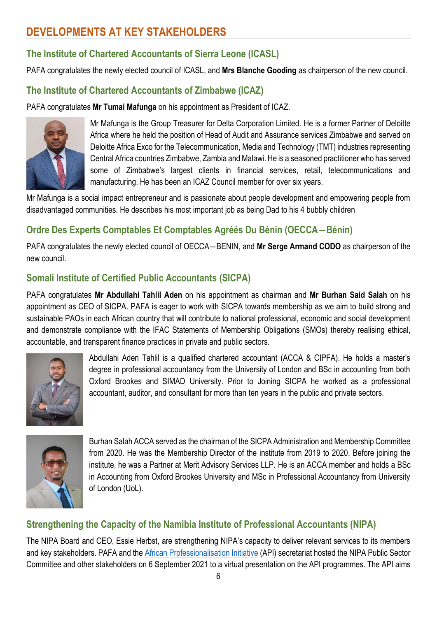# **DEVELOPMENTS AT KEY STAKEHOLDERS**

# **The Institute of Chartered Accountants of Sierra Leone (ICASL)**

PAFA congratulates the newly elected council of ICASL, and **Mrs Blanche Gooding** as chairperson of the new council.

# **The Institute of Chartered Accountants of Zimbabwe (ICAZ)**

PAFA congratulates **Mr Tumai Mafunga** on his appointment as President of ICAZ.



Mr Mafunga is the Group Treasurer for Delta Corporation Limited. He is a former Partner of Deloitte Africa where he held the position of Head of Audit and Assurance services Zimbabwe and served on Deloitte Africa Exco for the Telecommunication, Media and Technology (TMT) industries representing Central Africa countries Zimbabwe, Zambia and Malawi. He is a seasoned practitioner who has served some of Zimbabwe's largest clients in financial services, retail, telecommunications and manufacturing. He has been an ICAZ Council member for over six years.

Mr Mafunga is a social impact entrepreneur and is passionate about people development and empowering people from disadvantaged communities. He describes his most important job as being Dad to his 4 bubbly children

# **Ordre Des Experts Comptables Et Comptables Agréés Du Bénin (OECCA―Bénin)**

PAFA congratulates the newly elected council of OECCA―BENIN, and **Mr Serge Armand CODO** as chairperson of the new council.

# **Somali Institute of Certified Public Accountants (SICPA)**

PAFA congratulates **Mr Abdullahi Tahlil Aden** on his appointment as chairman and **Mr Burhan Said Salah** on his appointment as CEO of SICPA. PAFA is eager to work with SICPA towards membership as we aim to build strong and sustainable PAOs in each African country that will contribute to national professional, economic and social development and demonstrate compliance with the IFAC Statements of Membership Obligations (SMOs) thereby realising ethical, accountable, and transparent finance practices in private and public sectors.



Abdullahi Aden Tahlil is a qualified chartered accountant (ACCA & CIPFA). He holds a master's degree in professional accountancy from the University of London and BSc in accounting from both Oxford Brookes and SIMAD University. Prior to Joining SICPA he worked as a professional accountant, auditor, and consultant for more than ten years in the public and private sectors.



Burhan Salah ACCA served as the chairman of the SICPA Administration and Membership Committee from 2020. He was the Membership Director of the institute from 2019 to 2020. Before joining the institute, he was a Partner at Merit Advisory Services LLP. He is an ACCA member and holds a BSc in Accounting from Oxford Brookes University and MSc in Professional Accountancy from University of London (UoL).

# **Strengthening the Capacity of the Namibia Institute of Professional Accountants (NIPA)**

The NIPA Board and CEO, Essie Herbst, are strengthening NIPA's capacity to deliver relevant services to its members and key stakeholders. PAFA and the African [Professionalisation Initiative](https://professionalisation.africa/) (API) secretariat hosted the NIPA Public Sector Committee and other stakeholders on 6 September 2021 to a virtual presentation on the API programmes. The API aims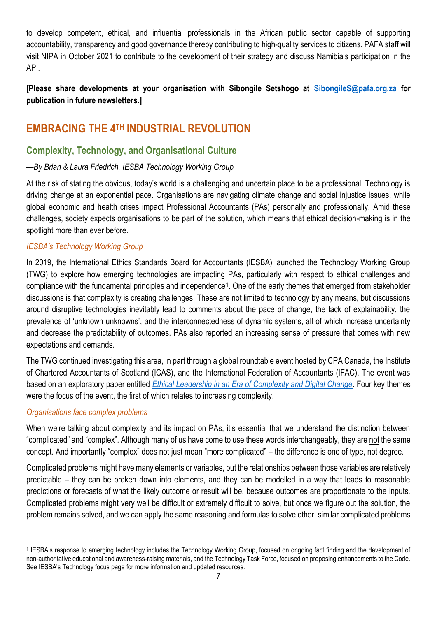to develop competent, ethical, and influential professionals in the African public sector capable of supporting accountability, transparency and good governance thereby contributing to high-quality services to citizens. PAFA staff will visit NIPA in October 2021 to contribute to the development of their strategy and discuss Namibia's participation in the API.

**[Please share developments at your organisation with Sibongile Setshogo at [SibongileS@pafa.org.za](mailto:SibongileS@pafa.org.za) for publication in future newsletters.]**

# **EMBRACING THE 4TH INDUSTRIAL REVOLUTION**

## **Complexity, Technology, and Organisational Culture**

#### *—By Brian & Laura Friedrich, IESBA Technology Working Group*

At the risk of stating the obvious, today's world is a challenging and uncertain place to be a professional. Technology is driving change at an exponential pace. Organisations are navigating climate change and social injustice issues, while global economic and health crises impact Professional Accountants (PAs) personally and professionally. Amid these challenges, society expects organisations to be part of the solution, which means that ethical decision-making is in the spotlight more than ever before.

#### *IESBA's Technology Working Group*

In 2019, the International Ethics Standards Board for Accountants (IESBA) launched the Technology Working Group (TWG) to explore how emerging technologies are impacting PAs, particularly with respect to ethical challenges and compliance with the fundamental principles and independence<sup>1</sup>. One of the early themes that emerged from stakeholder discussions is that complexity is creating challenges. These are not limited to technology by any means, but discussions around disruptive technologies inevitably lead to comments about the pace of change, the lack of explainability, the prevalence of 'unknown unknowns', and the interconnectedness of dynamic systems, all of which increase uncertainty and decrease the predictability of outcomes. PAs also reported an increasing sense of pressure that comes with new expectations and demands.

The TWG continued investigating this area, in part through a global roundtable event hosted by CPA Canada, the Institute of Chartered Accountants of Scotland (ICAS), and the International Federation of Accountants (IFAC). The event was based on an exploratory paper entitled *[Ethical Leadership in an Era of Complexity and Digital Change.](https://www.ifac.org/knowledge-gateway/building-trust-ethics/publications/ethical-leadership-era-complexity-and-digital-change)* Four key themes were the focus of the event, the first of which relates to increasing complexity.

#### *Organisations face complex problems*

When we're talking about complexity and its impact on PAs, it's essential that we understand the distinction between "complicated" and "complex". Although many of us have come to use these words interchangeably, they are not the same concept. And importantly "complex" does not just mean "more complicated" – the difference is one of type, not degree.

Complicated problems might have many elements or variables, but the relationships between those variables are relatively predictable – they can be broken down into elements, and they can be modelled in a way that leads to reasonable predictions or forecasts of what the likely outcome or result will be, because outcomes are proportionate to the inputs. Complicated problems might very well be difficult or extremely difficult to solve, but once we figure out the solution, the problem remains solved, and we can apply the same reasoning and formulas to solve other, similar complicated problems

<sup>1</sup> IESBA's response to emerging technology includes the Technology Working Group, focused on ongoing fact finding and the development of non-authoritative educational and awareness-raising materials, and the Technology Task Force, focused on proposing enhancements to the Code. See IESBA's Technology focus page for more information and updated resources.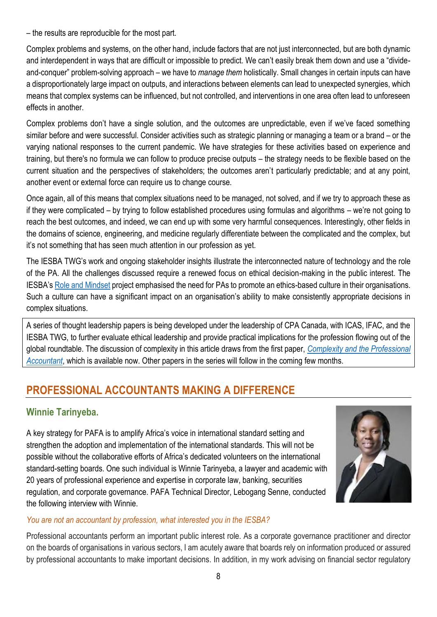– the results are reproducible for the most part.

Complex problems and systems, on the other hand, include factors that are not just interconnected, but are both dynamic and interdependent in ways that are difficult or impossible to predict. We can't easily break them down and use a "divideand-conquer" problem-solving approach – we have to *manage them* holistically. Small changes in certain inputs can have a disproportionately large impact on outputs, and interactions between elements can lead to unexpected synergies, which means that complex systems can be influenced, but not controlled, and interventions in one area often lead to unforeseen effects in another.

Complex problems don't have a single solution, and the outcomes are unpredictable, even if we've faced something similar before and were successful. Consider activities such as strategic planning or managing a team or a brand – or the varying national responses to the current pandemic. We have strategies for these activities based on experience and training, but there's no formula we can follow to produce precise outputs – the strategy needs to be flexible based on the current situation and the perspectives of stakeholders; the outcomes aren't particularly predictable; and at any point, another event or external force can require us to change course.

Once again, all of this means that complex situations need to be managed, not solved, and if we try to approach these as if they were complicated – by trying to follow established procedures using formulas and algorithms – we're not going to reach the best outcomes, and indeed, we can end up with some very harmful consequences. Interestingly, other fields in the domains of science, engineering, and medicine regularly differentiate between the complicated and the complex, but it's not something that has seen much attention in our profession as yet.

The IESBA TWG's work and ongoing stakeholder insights illustrate the interconnected nature of technology and the role of the PA. All the challenges discussed require a renewed focus on ethical decision-making in the public interest. The IESBA's [Role and Mindset](https://www.ethicsboard.org/publications/iesba-fact-sheet-role-and-mindset-professional-accountant) project emphasised the need for PAs to promote an ethics-based culture in their organisations. Such a culture can have a significant impact on an organisation's ability to make consistently appropriate decisions in complex situations.

A series of thought leadership papers is being developed under the leadership of CPA Canada, with ICAS, IFAC, and the IESBA TWG, to further evaluate ethical leadership and provide practical implications for the profession flowing out of the global roundtable. The discussion of complexity in this article draws from the first paper, *[Complexity and the Professional](https://www.ifac.org/knowledge-gateway/building-trust-ethics/publications/ethical-leadership-era-complexity-and-digital-change-paper-1)  [Accountant](https://www.ifac.org/knowledge-gateway/building-trust-ethics/publications/ethical-leadership-era-complexity-and-digital-change-paper-1)*, which is available now. Other papers in the series will follow in the coming few months.

# **PROFESSIONAL ACCOUNTANTS MAKING A DIFFERENCE**

# **Winnie Tarinyeba.**

A key strategy for PAFA is to amplify Africa's voice in international standard setting and strengthen the adoption and implementation of the international standards. This will not be possible without the collaborative efforts of Africa's dedicated volunteers on the international standard-setting boards. One such individual is Winnie Tarinyeba, a lawyer and academic with 20 years of professional experience and expertise in corporate law, banking, securities regulation, and corporate governance. PAFA Technical Director, Lebogang Senne, conducted the following interview with Winnie.



#### *You are not an accountant by profession, what interested you in the IESBA?*

Professional accountants perform an important public interest role. As a corporate governance practitioner and director on the boards of organisations in various sectors, I am acutely aware that boards rely on information produced or assured by professional accountants to make important decisions. In addition, in my work advising on financial sector regulatory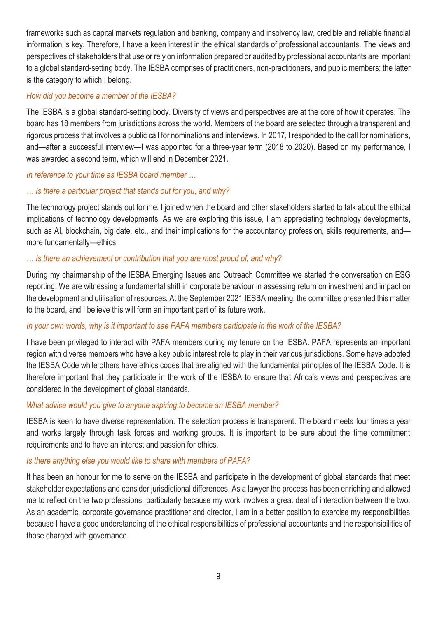frameworks such as capital markets regulation and banking, company and insolvency law, credible and reliable financial information is key. Therefore, I have a keen interest in the ethical standards of professional accountants. The views and perspectives of stakeholders that use or rely on information prepared or audited by professional accountants are important to a global standard-setting body. The IESBA comprises of practitioners, non-practitioners, and public members; the latter is the category to which I belong.

#### *How did you become a member of the IESBA?*

The IESBA is a global standard-setting body. Diversity of views and perspectives are at the core of how it operates. The board has 18 members from jurisdictions across the world. Members of the board are selected through a transparent and rigorous process that involves a public call for nominations and interviews. In 2017, I responded to the call for nominations, and—after a successful interview—I was appointed for a three-year term (2018 to 2020). Based on my performance, I was awarded a second term, which will end in December 2021.

#### *In reference to your time as IESBA board member …*

#### *… Is there a particular project that stands out for you, and why?*

The technology project stands out for me. I joined when the board and other stakeholders started to talk about the ethical implications of technology developments. As we are exploring this issue, I am appreciating technology developments, such as AI, blockchain, big date, etc., and their implications for the accountancy profession, skills requirements, and more fundamentally—ethics.

#### *… Is there an achievement or contribution that you are most proud of, and why?*

During my chairmanship of the IESBA Emerging Issues and Outreach Committee we started the conversation on ESG reporting. We are witnessing a fundamental shift in corporate behaviour in assessing return on investment and impact on the development and utilisation of resources. At the September 2021 IESBA meeting, the committee presented this matter to the board, and I believe this will form an important part of its future work.

#### *In your own words, why is it important to see PAFA members participate in the work of the IESBA?*

I have been privileged to interact with PAFA members during my tenure on the IESBA. PAFA represents an important region with diverse members who have a key public interest role to play in their various jurisdictions. Some have adopted the IESBA Code while others have ethics codes that are aligned with the fundamental principles of the IESBA Code. It is therefore important that they participate in the work of the IESBA to ensure that Africa's views and perspectives are considered in the development of global standards.

#### *What advice would you give to anyone aspiring to become an IESBA member?*

IESBA is keen to have diverse representation. The selection process is transparent. The board meets four times a year and works largely through task forces and working groups. It is important to be sure about the time commitment requirements and to have an interest and passion for ethics.

#### *Is there anything else you would like to share with members of PAFA?*

It has been an honour for me to serve on the IESBA and participate in the development of global standards that meet stakeholder expectations and consider jurisdictional differences. As a lawyer the process has been enriching and allowed me to reflect on the two professions, particularly because my work involves a great deal of interaction between the two. As an academic, corporate governance practitioner and director, I am in a better position to exercise my responsibilities because I have a good understanding of the ethical responsibilities of professional accountants and the responsibilities of those charged with governance.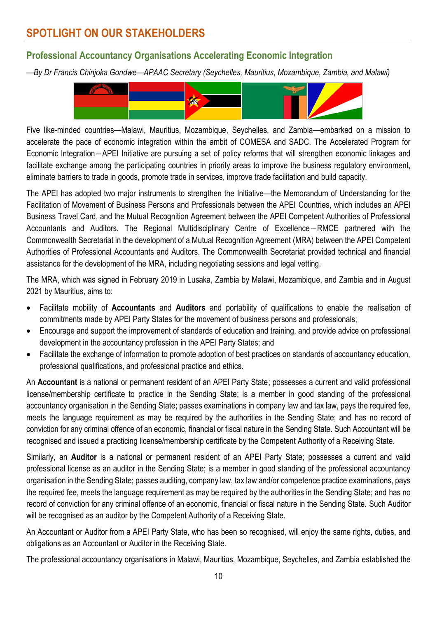# **Professional Accountancy Organisations Accelerating Economic Integration**

*—By Dr Francis Chinjoka Gondwe—APAAC Secretary (Seychelles, Mauritius, Mozambique, Zambia, and Malawi)*



Five like-minded countries—Malawi, Mauritius, Mozambique, Seychelles, and Zambia—embarked on a mission to accelerate the pace of economic integration within the ambit of COMESA and SADC. The Accelerated Program for Economic Integration―APEI Initiative are pursuing a set of policy reforms that will strengthen economic linkages and facilitate exchange among the participating countries in priority areas to improve the business regulatory environment. eliminate barriers to trade in goods, promote trade in services, improve trade facilitation and build capacity.

The APEI has adopted two major instruments to strengthen the Initiative—the Memorandum of Understanding for the Facilitation of Movement of Business Persons and Professionals between the APEI Countries, which includes an APEI Business Travel Card, and the Mutual Recognition Agreement between the APEI Competent Authorities of Professional Accountants and Auditors. The Regional Multidisciplinary Centre of Excellence―RMCE partnered with the Commonwealth Secretariat in the development of a Mutual Recognition Agreement (MRA) between the APEI Competent Authorities of Professional Accountants and Auditors. The Commonwealth Secretariat provided technical and financial assistance for the development of the MRA, including negotiating sessions and legal vetting.

The MRA, which was signed in February 2019 in Lusaka, Zambia by Malawi, Mozambique, and Zambia and in August 2021 by Mauritius, aims to:

- Facilitate mobility of **Accountants** and **Auditors** and portability of qualifications to enable the realisation of commitments made by APEI Party States for the movement of business persons and professionals;
- Encourage and support the improvement of standards of education and training, and provide advice on professional development in the accountancy profession in the APEI Party States; and
- Facilitate the exchange of information to promote adoption of best practices on standards of accountancy education, professional qualifications, and professional practice and ethics.

An **Accountant** is a national or permanent resident of an APEI Party State; possesses a current and valid professional license/membership certificate to practice in the Sending State; is a member in good standing of the professional accountancy organisation in the Sending State; passes examinations in company law and tax law, pays the required fee, meets the language requirement as may be required by the authorities in the Sending State; and has no record of conviction for any criminal offence of an economic, financial or fiscal nature in the Sending State. Such Accountant will be recognised and issued a practicing license/membership certificate by the Competent Authority of a Receiving State.

Similarly, an **Auditor** is a national or permanent resident of an APEI Party State; possesses a current and valid professional license as an auditor in the Sending State; is a member in good standing of the professional accountancy organisation in the Sending State; passes auditing, company law, tax law and/or competence practice examinations, pays the required fee, meets the language requirement as may be required by the authorities in the Sending State; and has no record of conviction for any criminal offence of an economic, financial or fiscal nature in the Sending State. Such Auditor will be recognised as an auditor by the Competent Authority of a Receiving State.

An Accountant or Auditor from a APEI Party State, who has been so recognised, will enjoy the same rights, duties, and obligations as an Accountant or Auditor in the Receiving State.

The professional accountancy organisations in Malawi, Mauritius, Mozambique, Seychelles, and Zambia established the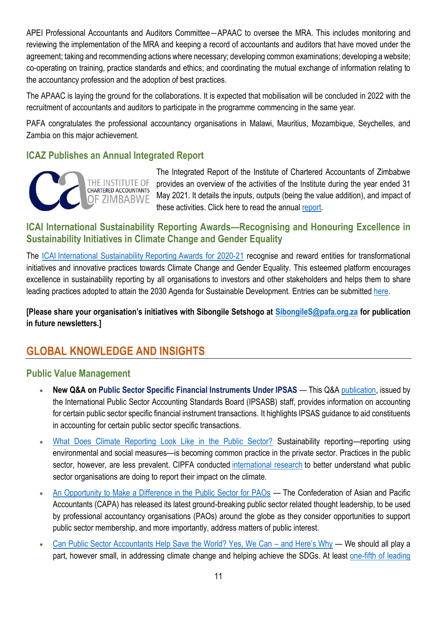APEI Professional Accountants and Auditors Committee―APAAC to oversee the MRA. This includes monitoring and reviewing the implementation of the MRA and keeping a record of accountants and auditors that have moved under the agreement; taking and recommending actions where necessary; developing common examinations; developing a website; co-operating on training, practice standards and ethics; and coordinating the mutual exchange of information relating to the accountancy profession and the adoption of best practices.

The APAAC is laying the ground for the collaborations. It is expected that mobilisation will be concluded in 2022 with the recruitment of accountants and auditors to participate in the programme commencing in the same year.

PAFA congratulates the professional accountancy organisations in Malawi, Mauritius, Mozambique, Seychelles, and Zambia on this major achievement.

## **ICAZ Publishes an Annual Integrated Report**



The Integrated Report of the Institute of Chartered Accountants of Zimbabwe provides an overview of the activities of the Institute during the year ended 31 May 2021. It details the inputs, outputs (being the value addition), and impact of these activities. Click here to read the annua[l report.](https://pafa.org.za/sites/default/files/2021-10/ICAZ%202021%20INTEGRATED%20ANNUAL%20REPORT.pdf)

## **ICAI International Sustainability Reporting Awards—Recognising and Honouring Excellence in Sustainability Initiatives in Climate Change and Gender Equality**

The ICAI [International Sustainability](https://zaf01.safelinks.protection.outlook.com/?url=https%3A%2F%2Fprotect-za.mimecast.com%2Fs%2FELATCvgxl3cWr3vOsQVfZm%3Fdomain%3Dresource.cdn.icai.org&data=04%7C01%7CSibongileS%40pafa.org.za%7C889ba3bde99f45e0bb5408d971379aed%7C2ee7786fc3a945ac81e6efc75b3c9c72%7C0%7C0%7C637665306205517305%7CUnknown%7CTWFpbGZsb3d8eyJWIjoiMC4wLjAwMDAiLCJQIjoiV2luMzIiLCJBTiI6Ik1haWwiLCJXVCI6Mn0%3D%7C1000&sdata=zsPcFleKo2t08rjIeoaYGvHz1DN98CPWloNairmttrI%3D&reserved=0) Reporting Awards for 2020-21 recognise and reward entities for transformational initiatives and innovative practices towards Climate Change and Gender Equality. This esteemed platform encourages excellence in sustainability reporting by all organisations to investors and other stakeholders and helps them to share leading practices adopted to attain the 2030 Agenda for Sustainable Development. Entries can be submitted [here.](https://forms.gle/Rk6eP2xKhD8Lcuyw6)

**[Please share your organisation's initiatives with Sibongile Setshogo at [SibongileS@pafa.org.za](mailto:SibongileS@pafa.org.za) for publication in future newsletters.]**

# **GLOBAL KNOWLEDGE AND INSIGHTS**

### **Public Value Management**

- **New Q&A** on Public Sector Specific Financial Instruments Under IPSAS This Q&A [publication,](https://zaf01.safelinks.protection.outlook.com/?url=https%3A%2F%2Fwww.ipsasb.org%2Fpublications%2Fpublic-sector-specific-financial-instruments-under-ipsas&data=04%7C01%7CSibongileS%40pafa.org.za%7Ce3446343c04943a05a7108d96d152733%7C2ee7786fc3a945ac81e6efc75b3c9c72%7C0%7C0%7C637660759888461579%7CUnknown%7CTWFpbGZsb3d8eyJWIjoiMC4wLjAwMDAiLCJQIjoiV2luMzIiLCJBTiI6Ik1haWwiLCJXVCI6Mn0%3D%7C1000&sdata=%2FPtkstIH8aMR%2BeHJvRJ9CVii2oXRLMAD2qYsi5Bkizw%3D&reserved=0) issued by the International Public Sector Accounting Standards Board (IPSASB) staff, provides information on accounting for certain public sector specific financial instrument transactions. It highlights IPSAS guidance to aid constituents in accounting for certain public sector specific transactions.
- What [Does Climate Reporting Look Like in the Public Sector?](https://zaf01.safelinks.protection.outlook.com/?url=https%3A%2F%2Fwww.ifac.org%2Fknowledge-gateway%2Fcontributing-global-economy%2Fdiscussion%2Fwhat-does-climate-reporting-look-public-sector&data=04%7C01%7CSibongileS%40pafa.org.za%7Ce3446343c04943a05a7108d96d152733%7C2ee7786fc3a945ac81e6efc75b3c9c72%7C0%7C0%7C637660759888481558%7CUnknown%7CTWFpbGZsb3d8eyJWIjoiMC4wLjAwMDAiLCJQIjoiV2luMzIiLCJBTiI6Ik1haWwiLCJXVCI6Mn0%3D%7C1000&sdata=pA6QC%2Fr9KPjlI7LMLlqxpxKgYfYwxg5wVQyQ4Oe9prE%3D&reserved=0) Sustainability reporting—reporting using environmental and social measures—is becoming common practice in the private sector. Practices in the public sector, however, are less prevalent. CIPFA conducted [international research](https://zaf01.safelinks.protection.outlook.com/?url=https%3A%2F%2Finsights.cipfa.org%2Fevolving-climate-accountability%2F&data=04%7C01%7CSibongileS%40pafa.org.za%7Ce3446343c04943a05a7108d96d152733%7C2ee7786fc3a945ac81e6efc75b3c9c72%7C0%7C0%7C637660759888481558%7CUnknown%7CTWFpbGZsb3d8eyJWIjoiMC4wLjAwMDAiLCJQIjoiV2luMzIiLCJBTiI6Ik1haWwiLCJXVCI6Mn0%3D%7C1000&sdata=qJhjgvxbijaZb4A6Hn3v8hnMJxWb6VO6DVrZPzOvNGs%3D&reserved=0) to better understand what public sector organisations are doing to report their impact on the climate.
- [An Opportunity to Make a Difference in the Public Sector for PAOs](https://zaf01.safelinks.protection.outlook.com/?url=https%3A%2F%2Fwww.ifac.org%2Fknowledge-gateway%2Fdeveloping-accountancy-profession%2Fdiscussion%2Fopportunity-make-difference-public-sector-paos&data=04%7C01%7CSibongileS%40pafa.org.za%7Ce3446343c04943a05a7108d96d152733%7C2ee7786fc3a945ac81e6efc75b3c9c72%7C0%7C0%7C637660759888491552%7CUnknown%7CTWFpbGZsb3d8eyJWIjoiMC4wLjAwMDAiLCJQIjoiV2luMzIiLCJBTiI6Ik1haWwiLCJXVCI6Mn0%3D%7C1000&sdata=7rn8sw8fnjVJ9yebFyIQ%2FDTjyzIYDv5d6OzGVOLNuxw%3D&reserved=0) The Confederation of Asian and Pacific Accountants (CAPA) has released its latest ground-breaking public sector related thought leadership, to be used by professional accountancy organisations (PAOs) around the globe as they consider opportunities to support public sector membership, and more importantly, address matters of public interest.
- [Can Public Sector Accountants Help Save the World? Yes, We Can](https://zaf01.safelinks.protection.outlook.com/?url=https%3A%2F%2Fwww.ifac.org%2Fknowledge-gateway%2Fcontributing-global-economy%2Fdiscussion%2Fcan-public-sector-accountants-help-save-world-yes-we-can-and-here-s-why&data=04%7C01%7CSibongileS%40pafa.org.za%7Ce3446343c04943a05a7108d96d152733%7C2ee7786fc3a945ac81e6efc75b3c9c72%7C0%7C0%7C637660759888491552%7CUnknown%7CTWFpbGZsb3d8eyJWIjoiMC4wLjAwMDAiLCJQIjoiV2luMzIiLCJBTiI6Ik1haWwiLCJXVCI6Mn0%3D%7C1000&sdata=k60bqhYXmelfDcRF1hm5ITCzaHBl5sh7LWkzFIcG%2Bwk%3D&reserved=0)  and Here's Why We should all play a part, however small, in addressing climate change and helping achieve the SDGs. At least one-fifth of leading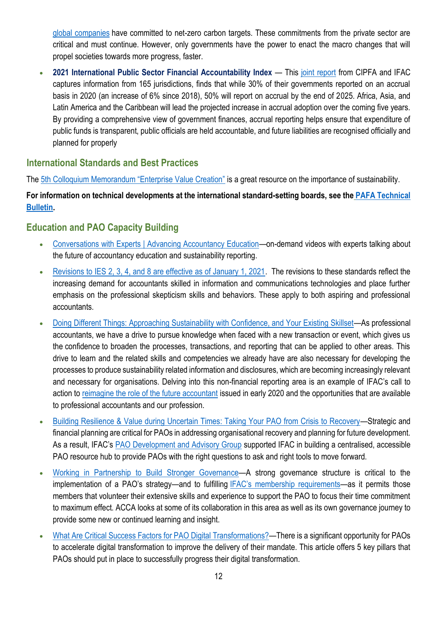[global companies](https://zaf01.safelinks.protection.outlook.com/?url=https%3A%2F%2Fwww.forbes.com%2Fsites%2Fdishashetty%2F2021%2F03%2F24%2Fa-fifth-of-worlds-largest-companies-committed-to-net-zero-target%2F%3Fsh%3D3aa25d13662f&data=04%7C01%7CSibongileS%40pafa.org.za%7Ce3446343c04943a05a7108d96d152733%7C2ee7786fc3a945ac81e6efc75b3c9c72%7C0%7C0%7C637660759888501546%7CUnknown%7CTWFpbGZsb3d8eyJWIjoiMC4wLjAwMDAiLCJQIjoiV2luMzIiLCJBTiI6Ik1haWwiLCJXVCI6Mn0%3D%7C1000&sdata=38DNRCJYv36PBmWtP4AyABpNA5h3Ej1BpwBpy8CxHH0%3D&reserved=0) have committed to net-zero carbon targets. These commitments from the private sector are critical and must continue. However, only governments have the power to enact the macro changes that will propel societies towards more progress, faster.

• **2021 International Public Sector Financial Accountability Index** — This [joint report](https://zaf01.safelinks.protection.outlook.com/?url=https%3A%2F%2Fwww.ifac.org%2Fknowledge-gateway%2Fsupporting-international-standards%2Fdiscussion%2Finternational-public-sector-financial-accountability-index-2020&data=04%7C01%7CSibongileS%40pafa.org.za%7Ce3446343c04943a05a7108d96d152733%7C2ee7786fc3a945ac81e6efc75b3c9c72%7C0%7C0%7C637660759888501546%7CUnknown%7CTWFpbGZsb3d8eyJWIjoiMC4wLjAwMDAiLCJQIjoiV2luMzIiLCJBTiI6Ik1haWwiLCJXVCI6Mn0%3D%7C1000&sdata=EY5XcdCMy%2FoyfpYPm7U%2F8kIBD748rHKkjyqSvXibOq4%3D&reserved=0) from CIPFA and IFAC captures information from 165 jurisdictions, finds that while 30% of their governments reported on an accrual basis in 2020 (an increase of 6% since 2018), 50% will report on accrual by the end of 2025. Africa, Asia, and Latin America and the Caribbean will lead the projected increase in accrual adoption over the coming five years. By providing a comprehensive view of government finances, accrual reporting helps ensure that expenditure of public funds is transparent, public officials are held accountable, and future liabilities are recognised officially and planned for properly

## **International Standards and Best Practices**

The [5th Colloquium Memorandum "Enterprise Value Creation"](https://www.goodgovernance.academy/wp-content/uploads/2020/04/GGA-5thColloquium-Memorandum-20210513.pdf) is a great resource on the importance of sustainability.

### **For information on technical developments at the international standard-setting boards, see the [PAFA Technical](https://drive.google.com/file/d/151dSaj_fBz75UOMTLCbvyZzNs3gnuO2_/view?usp=sharing)  [Bulletin](https://drive.google.com/file/d/151dSaj_fBz75UOMTLCbvyZzNs3gnuO2_/view?usp=sharing).**

# **Education and PAO Capacity Building**

- [Conversations with Experts | Advancing Accountancy Education](https://zaf01.safelinks.protection.outlook.com/?url=https%3A%2F%2Fwww.youtube.com%2Fplaylist%3Flist%3DPLfuuMk7vk2djeuDqXku9xEGfj_LJlB_5B&data=04%7C01%7CSibongileS%40pafa.org.za%7Ce3446343c04943a05a7108d96d152733%7C2ee7786fc3a945ac81e6efc75b3c9c72%7C0%7C0%7C637660759888441580%7CUnknown%7CTWFpbGZsb3d8eyJWIjoiMC4wLjAwMDAiLCJQIjoiV2luMzIiLCJBTiI6Ik1haWwiLCJXVCI6Mn0%3D%7C1000&sdata=HCUASEChfaJtcS6ASIqynzN8H71Kkcn51jFCR4PsL1g%3D&reserved=0)—on-demand videos with experts talking about the future of accountancy education and sustainability reporting.
- [Revisions to IES 2, 3, 4, and 8 are effective as of January 1, 2021.](https://zaf01.safelinks.protection.outlook.com/?url=https%3A%2F%2Feducation.ifac.org%2Findex.html&data=04%7C01%7CSibongileS%40pafa.org.za%7Ce3446343c04943a05a7108d96d152733%7C2ee7786fc3a945ac81e6efc75b3c9c72%7C0%7C0%7C637660759888441580%7CUnknown%7CTWFpbGZsb3d8eyJWIjoiMC4wLjAwMDAiLCJQIjoiV2luMzIiLCJBTiI6Ik1haWwiLCJXVCI6Mn0%3D%7C1000&sdata=Gw9J2sXRf01zlIMrt4YQP2VMsugbVFu41jvNm%2B9ETdo%3D&reserved=0) The revisions to these standards reflect the increasing demand for accountants skilled in information and communications technologies and place further emphasis on the professional skepticism skills and behaviors. These apply to both aspiring and professional accountants.
- [Doing Different Things: Approaching Sustainability with Confidence, and Your Existing Skillset](https://zaf01.safelinks.protection.outlook.com/?url=https%3A%2F%2Fwww.ifac.org%2Fknowledge-gateway%2Fcontributing-global-economy%2Fdiscussion%2Fdoing-different-things-approaching-sustainability-confidence-and-your-existing-skillset&data=04%7C01%7CSibongileS%40pafa.org.za%7Ce3446343c04943a05a7108d96d152733%7C2ee7786fc3a945ac81e6efc75b3c9c72%7C0%7C0%7C637660759888451577%7CUnknown%7CTWFpbGZsb3d8eyJWIjoiMC4wLjAwMDAiLCJQIjoiV2luMzIiLCJBTiI6Ik1haWwiLCJXVCI6Mn0%3D%7C1000&sdata=tgSebE7zMzF8gUCM%2FgxSvah1GCZ5fmwFl41%2F5do7mqQ%3D&reserved=0)—As professional accountants, we have a drive to pursue knowledge when faced with a new transaction or event, which gives us the confidence to broaden the processes, transactions, and reporting that can be applied to other areas. This drive to learn and the related skills and competencies we already have are also necessary for developing the processes to produce sustainability related information and disclosures, which are becoming increasingly relevant and necessary for organisations. Delving into this non-financial reporting area is an example of IFAC's call to action to [reimagine the role of the future accountant](https://zaf01.safelinks.protection.outlook.com/?url=https%3A%2F%2Fwww.ifac.org%2Fknowledge-gateway%2Fpreparing-future-ready-professionals%2Fdiscussion%2Fre-imagining-future-accountant-our-call-action&data=04%7C01%7CSibongileS%40pafa.org.za%7Ce3446343c04943a05a7108d96d152733%7C2ee7786fc3a945ac81e6efc75b3c9c72%7C0%7C0%7C637660759888451577%7CUnknown%7CTWFpbGZsb3d8eyJWIjoiMC4wLjAwMDAiLCJQIjoiV2luMzIiLCJBTiI6Ik1haWwiLCJXVCI6Mn0%3D%7C1000&sdata=IT3bUhec0PNLBThWIL7Ihxg6Oazq1sDCgne0KxOp0VY%3D&reserved=0) issued in early 2020 and the opportunities that are available to professional accountants and our profession.
- [Building Resilience & Value during Uncertain Times: Taking Your PAO from Crisis to Recovery](https://zaf01.safelinks.protection.outlook.com/?url=https%3A%2F%2Fbit.ly%2FPAO-Recovery&data=04%7C01%7CSibongileS%40pafa.org.za%7Ce3446343c04943a05a7108d96d152733%7C2ee7786fc3a945ac81e6efc75b3c9c72%7C0%7C0%7C637660759888291678%7CUnknown%7CTWFpbGZsb3d8eyJWIjoiMC4wLjAwMDAiLCJQIjoiV2luMzIiLCJBTiI6Ik1haWwiLCJXVCI6Mn0%3D%7C1000&sdata=uLRV2DtVkKHFg3MvuG1xyZrn%2FQ3NijYNUa9ktvdYBcs%3D&reserved=0)—Strategic and financial planning are critical for PAOs in addressing organisational recovery and planning for future development. As a result, IFAC's [PAO Development and Advisory Group](https://zaf01.safelinks.protection.outlook.com/?url=https%3A%2F%2Fwww.ifac.org%2Fwho-we-are%2Fadvisory-groups%2Fprofessional-accountancy-organization-development-advisory-group&data=04%7C01%7CSibongileS%40pafa.org.za%7Ce3446343c04943a05a7108d96d152733%7C2ee7786fc3a945ac81e6efc75b3c9c72%7C0%7C0%7C637660759888291678%7CUnknown%7CTWFpbGZsb3d8eyJWIjoiMC4wLjAwMDAiLCJQIjoiV2luMzIiLCJBTiI6Ik1haWwiLCJXVCI6Mn0%3D%7C1000&sdata=2Fw6d5aA9mLyc7ndl8lqrQMaJljngbZwiQ7ZoziX2Ek%3D&reserved=0) supported IFAC in building a centralised, accessible PAO resource hub to provide PAOs with the right questions to ask and right tools to move forward.
- [Working in Partnership to Build Stronger Governance](https://zaf01.safelinks.protection.outlook.com/?url=https%3A%2F%2Fwww.ifac.org%2Fknowledge-gateway%2Fdeveloping-accountancy-profession%2Fdiscussion%2Fworking-partnership-build-stronger-governance&data=04%7C01%7CSibongileS%40pafa.org.za%7Ce3446343c04943a05a7108d96d152733%7C2ee7786fc3a945ac81e6efc75b3c9c72%7C0%7C0%7C637660759888301660%7CUnknown%7CTWFpbGZsb3d8eyJWIjoiMC4wLjAwMDAiLCJQIjoiV2luMzIiLCJBTiI6Ik1haWwiLCJXVCI6Mn0%3D%7C1000&sdata=o4VVxqT0XHwva1K5uQfy3yv547RHXONcOIo470vogrE%3D&reserved=0)—A strong governance structure is critical to the implementation of a PAO's strategy—and to fulfilling [IFAC's membership requirements—](https://zaf01.safelinks.protection.outlook.com/?url=https%3A%2F%2Fwww.ifac.org%2Fwho-we-are%2Fmembership&data=04%7C01%7CSibongileS%40pafa.org.za%7Ce3446343c04943a05a7108d96d152733%7C2ee7786fc3a945ac81e6efc75b3c9c72%7C0%7C0%7C637660759888301660%7CUnknown%7CTWFpbGZsb3d8eyJWIjoiMC4wLjAwMDAiLCJQIjoiV2luMzIiLCJBTiI6Ik1haWwiLCJXVCI6Mn0%3D%7C1000&sdata=3L72x32ZvuV3gWEGLJFq0OHKlDjW6tCSnopOtyQxrA8%3D&reserved=0)as it permits those members that volunteer their extensive skills and experience to support the PAO to focus their time commitment to maximum effect. ACCA looks at some of its collaboration in this area as well as its own governance journey to provide some new or continued learning and insight.
- [What Are Critical Success Factors for PAO Digital Transformations?](https://zaf01.safelinks.protection.outlook.com/?url=https%3A%2F%2Fwww.ifac.org%2Fknowledge-gateway%2Fdeveloping-accountancy-profession%2Fdiscussion%2Fwhat-are-critical-success-factors-pao-digital-transformations&data=04%7C01%7CSibongileS%40pafa.org.za%7Ce3446343c04943a05a7108d96d152733%7C2ee7786fc3a945ac81e6efc75b3c9c72%7C0%7C0%7C637660759888311658%7CUnknown%7CTWFpbGZsb3d8eyJWIjoiMC4wLjAwMDAiLCJQIjoiV2luMzIiLCJBTiI6Ik1haWwiLCJXVCI6Mn0%3D%7C1000&sdata=I23iMF25D%2Bn4qQYy%2B6IbN2hG%2BV%2FGIyf87puTJLbae18%3D&reserved=0)—There is a significant opportunity for PAOs to accelerate digital transformation to improve the delivery of their mandate. This article offers 5 key pillars that PAOs should put in place to successfully progress their digital transformation.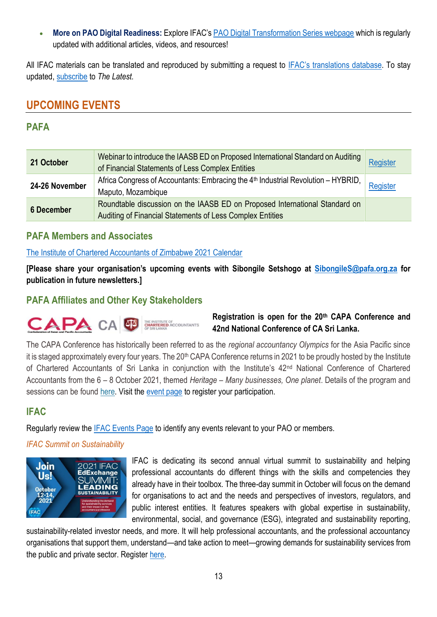• **More on PAO Digital Readiness:** Explore IFAC's [PAO Digital Transformation Series webpage](https://zaf01.safelinks.protection.outlook.com/?url=https%3A%2F%2Fwww.ifac.org%2Fknowledge-gateway%2Fdeveloping-accountancy-profession%2Fdiscussion%2Fpao-digital-transformation-series&data=04%7C01%7CSibongileS%40pafa.org.za%7Ce3446343c04943a05a7108d96d152733%7C2ee7786fc3a945ac81e6efc75b3c9c72%7C0%7C0%7C637660759888311658%7CUnknown%7CTWFpbGZsb3d8eyJWIjoiMC4wLjAwMDAiLCJQIjoiV2luMzIiLCJBTiI6Ik1haWwiLCJXVCI6Mn0%3D%7C1000&sdata=Z6HSBLco62R0jGLHMn5MCu4CgRbDjpzNTSkG8QrM6FU%3D&reserved=0) which is regularly updated with additional articles, videos, and resources!

All IFAC materials can be translated and reproduced by submitting a request to [IFAC's translations](https://protect-za.mimecast.com/s/6vgvCKO71pHqqmO9fMD0OQ?domain=ifac.org) database. To stay updated, [subscribe](https://protect-za.mimecast.com/s/DnSSCLg17qcPP4KXuqF8PO?domain=ifac.org) to *The Latest.*

# **UPCOMING EVENTS**

# **PAFA**

| 21 October        | Webinar to introduce the IAASB ED on Proposed International Standard on Auditing<br>of Financial Statements of Less Complex Entities     | Register |
|-------------------|------------------------------------------------------------------------------------------------------------------------------------------|----------|
| 24-26 November    | Africa Congress of Accountants: Embracing the 4 <sup>th</sup> Industrial Revolution - HYBRID,<br>Maputo, Mozambique                      | Register |
| <b>6 December</b> | Roundtable discussion on the IAASB ED on Proposed International Standard on<br>Auditing of Financial Statements of Less Complex Entities |          |

### **PAFA Members and Associates**

#### [The Institute of Chartered Accountants of Zimbabwe 2021 Calendar](https://www.icaz.org.zw/imisDocs/ICAZ%202021%20CALENDAR%20fin.pdf)

**[Please share your organisation's upcoming events with Sibongile Setshogo at [SibongileS@pafa.org.za](mailto:SibongileS@pafa.org.za) for publication in future newsletters.]**

## **PAFA Affiliates and Other Key Stakeholders**



### **Registration is open for the 20th CAPA Conference and 42nd National Conference of CA Sri Lanka.**

The CAPA Conference has historically been referred to as the *regional accountancy Olympics* for the Asia Pacific since it is staged approximately every four years. The 20<sup>th</sup> CAPA Conference returns in 2021 to be proudly hosted by the Institute of Chartered Accountants of Sri Lanka in conjunction with the Institute's 42<sup>nd</sup> National Conference of Chartered Accountants from the 6 – 8 October 2021, themed *Heritage – Many businesses, One planet*. Details of the program and sessions can be found [here.](https://zaf01.safelinks.protection.outlook.com/?url=http%3A%2F%2Fwww.capa.com.my%2Fwp-content%2Fuploads%2F2021%2F09%2FAgenda-6_8-Oct-Conference.pdf&data=04%7C01%7CSibongileS%40pafa.org.za%7C5b34ba1fc85c4ea32efd08d96dd1ae60%7C2ee7786fc3a945ac81e6efc75b3c9c72%7C0%7C0%7C637661570882218824%7CUnknown%7CTWFpbGZsb3d8eyJWIjoiMC4wLjAwMDAiLCJQIjoiV2luMzIiLCJBTiI6Ik1haWwiLCJXVCI6Mn0%3D%7C1000&sdata=0YXqwXhoNTiGcgrL%2B70rUv2kz35zpumoaV1tKn%2BwSdI%3D&reserved=0) Visit the [event page](https://caconference.casrilanka.com/) to register your participation.

# **IFAC**

Regularly review the [IFAC Events Page](https://www.ifac.org/events) to identify any events relevant to your PAO or members.

#### *IFAC Summit on Sustainability*



IFAC is dedicating its second annual virtual summit to sustainability and helping professional accountants do different things with the skills and competencies they already have in their toolbox. The three-day summit in October will focus on the demand for organisations to act and the needs and perspectives of investors, regulators, and public interest entities. It features speakers with global expertise in sustainability, environmental, social, and governance (ESG), integrated and sustainability reporting,

sustainability-related investor needs, and more. It will help professional accountants, and the professional accountancy organisations that support them, understand—and take action to meet—growing demands for sustainability services from the public and private sector. Register [here.](https://aaahq.org/Meetings/Meeting-Info/sessionaltcd/21IFAC10)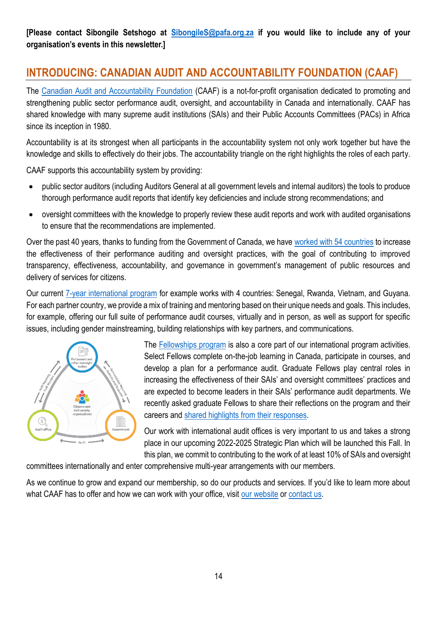**[Please contact Sibongile Setshogo at [SibongileS@pafa.org.za](mailto:SibongileS@pafa.org.za) if you would like to include any of your organisation's events in this newsletter.]**

# **INTRODUCING: CANADIAN AUDIT AND ACCOUNTABILITY FOUNDATION (CAAF)**

The [Canadian Audit and Accountability Foundation](https://www.caaf-fcar.ca/en/about-us/our-value-proposition) (CAAF) is a not-for-profit organisation dedicated to promoting and strengthening public sector performance audit, oversight, and accountability in Canada and internationally. CAAF has shared knowledge with many supreme audit institutions (SAIs) and their Public Accounts Committees (PACs) in Africa since its inception in 1980.

Accountability is at its strongest when all participants in the accountability system not only work together but have the knowledge and skills to effectively do their jobs. The accountability triangle on the right highlights the roles of each party.

CAAF supports this accountability system by providing:

- public sector auditors (including Auditors General at all government levels and internal auditors) the tools to produce thorough performance audit reports that identify key deficiencies and include strong recommendations; and
- oversight committees with the knowledge to properly review these audit reports and work with audited organisations to ensure that the recommendations are implemented.

Over the past 40 years, thanks to funding from the Government of Canada, we have [worked with 54 countries](https://www.caaf-fcar.ca/en/international-development-program/about-the-program/program-history) to increase the effectiveness of their performance auditing and oversight practices, with the goal of contributing to improved transparency, effectiveness, accountability, and governance in government's management of public resources and delivery of services for citizens.

Our current [7-year international program](https://www.caaf-fcar.ca/en/international-development-program/about-the-program) for example works with 4 countries: Senegal, Rwanda, Vietnam, and Guyana. For each partner country, we provide a mix of training and mentoring based on their unique needs and goals. This includes, for example, offering our full suite of performance audit courses, virtually and in person, as well as support for specific issues, including gender mainstreaming, building relationships with key partners, and communications.



The [Fellowships program](https://www.caaf-fcar.ca/en/international-development-program/fellowships-and-leaders-programs) is also a core part of our international program activities. Select Fellows complete on-the-job learning in Canada, participate in courses, and develop a plan for a performance audit. Graduate Fellows play central roles in increasing the effectiveness of their SAIs' and oversight committees' practices and are expected to become leaders in their SAIs' performance audit departments. We recently asked graduate Fellows to share their reflections on the program and their careers and [shared highlights from their responses.](https://www.caaf-fcar.ca/en/international-development-program/program-news/3761-fellows-40th-story)

Our work with international audit offices is very important to us and takes a strong place in our upcoming 2022-2025 Strategic Plan which will be launched this Fall. In this plan, we commit to contributing to the work of at least 10% of SAIs and oversight

committees internationally and enter comprehensive multi-year arrangements with our members.

As we continue to grow and expand our membership, so do our products and services. If you'd like to learn more about what CAAF has to offer and how we can work with your office, visit [our website](https://www.caaf-fcar.ca/en/member-benefits) or [contact us.](https://www.caaf-fcar.ca/en/about-us/our-team)